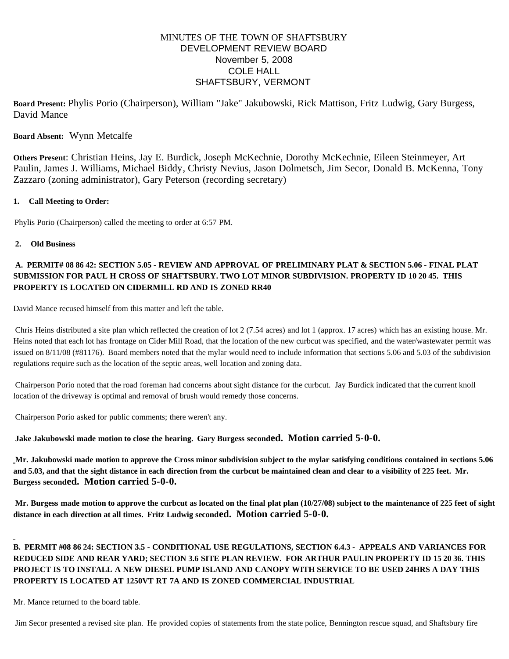# MINUTES OF THE TOWN OF SHAFTSBURY DEVELOPMENT REVIEW BOARD November 5, 2008 COLE HALL SHAFTSBURY, VERMONT

**Board Present:** Phylis Porio (Chairperson), William "Jake" Jakubowski, Rick Mattison, Fritz Ludwig, Gary Burgess, David Mance

# **Board Absent:** Wynn Metcalfe

**Others Present**: Christian Heins, Jay E. Burdick, Joseph McKechnie, Dorothy McKechnie, Eileen Steinmeyer, Art Paulin, James J. Williams, Michael Biddy, Christy Nevius, Jason Dolmetsch, Jim Secor, Donald B. McKenna, Tony Zazzaro (zoning administrator), Gary Peterson (recording secretary)

### **1. Call Meeting to Order:**

Phylis Porio (Chairperson) called the meeting to order at 6:57 PM.

### **2. Old Business**

# **A. PERMIT# 08 86 42: SECTION 5.05 - REVIEW AND APPROVAL OF PRELIMINARY PLAT & SECTION 5.06 - FINAL PLAT SUBMISSION FOR PAUL H CROSS OF SHAFTSBURY. TWO LOT MINOR SUBDIVISION. PROPERTY ID 10 20 45. THIS PROPERTY IS LOCATED ON CIDERMILL RD AND IS ZONED RR40**

David Mance recused himself from this matter and left the table.

Chris Heins distributed a site plan which reflected the creation of lot 2 (7.54 acres) and lot 1 (approx. 17 acres) which has an existing house. Mr. Heins noted that each lot has frontage on Cider Mill Road, that the location of the new curbcut was specified, and the water/wastewater permit was issued on 8/11/08 (#81176). Board members noted that the mylar would need to include information that sections 5.06 and 5.03 of the subdivision regulations require such as the location of the septic areas, well location and zoning data.

Chairperson Porio noted that the road foreman had concerns about sight distance for the curbcut. Jay Burdick indicated that the current knoll location of the driveway is optimal and removal of brush would remedy those concerns.

Chairperson Porio asked for public comments; there weren't any.

**Jake Jakubowski made motion to close the hearing. Gary Burgess seconded. Motion carried 5-0-0.**

**Mr. Jakubowski made motion to approve the Cross minor subdivision subject to the mylar satisfying conditions contained in sections 5.06 and 5.03, and that the sight distance in each direction from the curbcut be maintained clean and clear to a visibility of 225 feet. Mr. Burgess seconded. Motion carried 5-0-0.**

**Mr. Burgess made motion to approve the curbcut as located on the final plat plan (10/27/08) subject to the maintenance of 225 feet of sight distance in each direction at all times. Fritz Ludwig seconded. Motion carried 5-0-0.**

# **B. PERMIT #08 86 24: SECTION 3.5 - CONDITIONAL USE REGULATIONS, SECTION 6.4.3 - APPEALS AND VARIANCES FOR REDUCED SIDE AND REAR YARD; SECTION 3.6 SITE PLAN REVIEW. FOR ARTHUR PAULIN PROPERTY ID 15 20 36. THIS PROJECT IS TO INSTALL A NEW DIESEL PUMP ISLAND AND CANOPY WITH SERVICE TO BE USED 24HRS A DAY THIS PROPERTY IS LOCATED AT 1250VT RT 7A AND IS ZONED COMMERCIAL INDUSTRIAL**

Mr. Mance returned to the board table.

Jim Secor presented a revised site plan. He provided copies of statements from the state police, Bennington rescue squad, and Shaftsbury fire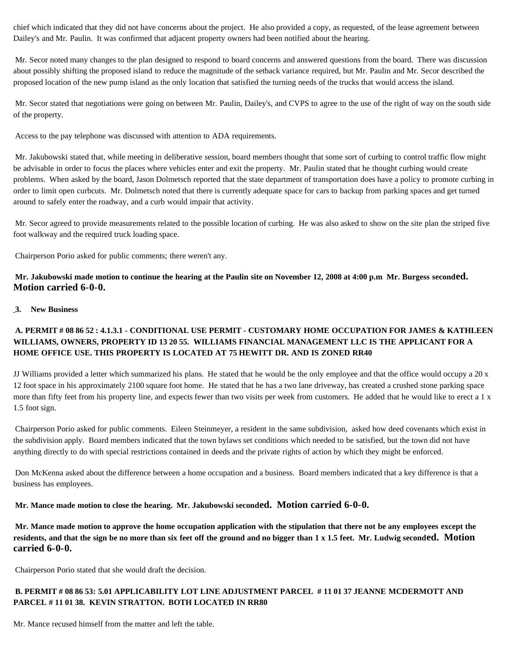chief which indicated that they did not have concerns about the project. He also provided a copy, as requested, of the lease agreement between Dailey's and Mr. Paulin. It was confirmed that adjacent property owners had been notified about the hearing.

Mr. Secor noted many changes to the plan designed to respond to board concerns and answered questions from the board. There was discussion about possibly shifting the proposed island to reduce the magnitude of the setback variance required, but Mr. Paulin and Mr. Secor described the proposed location of the new pump island as the only location that satisfied the turning needs of the trucks that would access the island.

Mr. Secor stated that negotiations were going on between Mr. Paulin, Dailey's, and CVPS to agree to the use of the right of way on the south side of the property.

Access to the pay telephone was discussed with attention to ADA requirements.

Mr. Jakubowski stated that, while meeting in deliberative session, board members thought that some sort of curbing to control traffic flow might be advisable in order to focus the places where vehicles enter and exit the property. Mr. Paulin stated that he thought curbing would create problems. When asked by the board, Jason Dolmetsch reported that the state department of transportation does have a policy to promote curbing in order to limit open curbcuts. Mr. Dolmetsch noted that there is currently adequate space for cars to backup from parking spaces and get turned around to safely enter the roadway, and a curb would impair that activity.

Mr. Secor agreed to provide measurements related to the possible location of curbing. He was also asked to show on the site plan the striped five foot walkway and the required truck loading space.

Chairperson Porio asked for public comments; there weren't any.

**Mr. Jakubowski made motion to continue the hearing at the Paulin site on November 12, 2008 at 4:00 p.m Mr. Burgess seconded. Motion carried 6-0-0.**

### **3. New Business**

# **A. PERMIT # 08 86 52 : 4.1.3.1 - CONDITIONAL USE PERMIT - CUSTOMARY HOME OCCUPATION FOR JAMES & KATHLEEN WILLIAMS, OWNERS, PROPERTY ID 13 20 55. WILLIAMS FINANCIAL MANAGEMENT LLC IS THE APPLICANT FOR A HOME OFFICE USE. THIS PROPERTY IS LOCATED AT 75 HEWITT DR. AND IS ZONED RR40**

JJ Williams provided a letter which summarized his plans. He stated that he would be the only employee and that the office would occupy a 20 x 12 foot space in his approximately 2100 square foot home. He stated that he has a two lane driveway, has created a crushed stone parking space more than fifty feet from his property line, and expects fewer than two visits per week from customers. He added that he would like to erect a 1 x 1.5 foot sign.

Chairperson Porio asked for public comments. Eileen Steinmeyer, a resident in the same subdivision, asked how deed covenants which exist in the subdivision apply. Board members indicated that the town bylaws set conditions which needed to be satisfied, but the town did not have anything directly to do with special restrictions contained in deeds and the private rights of action by which they might be enforced.

Don McKenna asked about the difference between a home occupation and a business. Board members indicated that a key difference is that a business has employees.

**Mr. Mance made motion to close the hearing. Mr. Jakubowski seconded. Motion carried 6-0-0.**

**Mr. Mance made motion to approve the home occupation application with the stipulation that there not be any employees except the residents, and that the sign be no more than six feet off the ground and no bigger than 1 x 1.5 feet. Mr. Ludwig seconded. Motion carried 6-0-0.**

Chairperson Porio stated that she would draft the decision.

# **B. PERMIT # 08 86 53: 5.01 APPLICABILITY LOT LINE ADJUSTMENT PARCEL # 11 01 37 JEANNE MCDERMOTT AND PARCEL # 11 01 38. KEVIN STRATTON. BOTH LOCATED IN RR80**

Mr. Mance recused himself from the matter and left the table.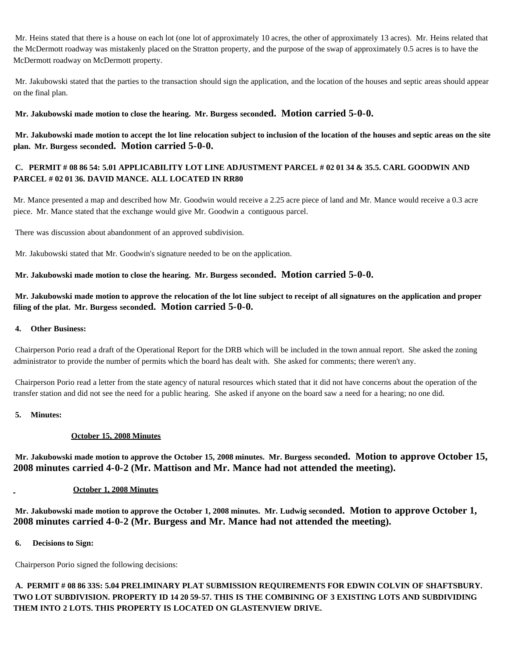Mr. Heins stated that there is a house on each lot (one lot of approximately 10 acres, the other of approximately 13 acres). Mr. Heins related that the McDermott roadway was mistakenly placed on the Stratton property, and the purpose of the swap of approximately 0.5 acres is to have the McDermott roadway on McDermott property.

Mr. Jakubowski stated that the parties to the transaction should sign the application, and the location of the houses and septic areas should appear on the final plan.

## **Mr. Jakubowski made motion to close the hearing. Mr. Burgess seconded. Motion carried 5-0-0.**

**Mr. Jakubowski made motion to accept the lot line relocation subject to inclusion of the location of the houses and septic areas on the site plan. Mr. Burgess seconded. Motion carried 5-0-0.**

# **C. PERMIT # 08 86 54: 5.01 APPLICABILITY LOT LINE ADJUSTMENT PARCEL # 02 01 34 & 35.5. CARL GOODWIN AND PARCEL # 02 01 36. DAVID MANCE. ALL LOCATED IN RR80**

Mr. Mance presented a map and described how Mr. Goodwin would receive a 2.25 acre piece of land and Mr. Mance would receive a 0.3 acre piece. Mr. Mance stated that the exchange would give Mr. Goodwin a contiguous parcel.

There was discussion about abandonment of an approved subdivision.

Mr. Jakubowski stated that Mr. Goodwin's signature needed to be on the application.

**Mr. Jakubowski made motion to close the hearing. Mr. Burgess seconded. Motion carried 5-0-0.**

**Mr. Jakubowski made motion to approve the relocation of the lot line subject to receipt of all signatures on the application and proper filing of the plat. Mr. Burgess seconded. Motion carried 5-0-0.**

#### **4. Other Business:**

Chairperson Porio read a draft of the Operational Report for the DRB which will be included in the town annual report. She asked the zoning administrator to provide the number of permits which the board has dealt with. She asked for comments; there weren't any.

Chairperson Porio read a letter from the state agency of natural resources which stated that it did not have concerns about the operation of the transfer station and did not see the need for a public hearing. She asked if anyone on the board saw a need for a hearing; no one did.

#### **5. Minutes:**

### **October 15, 2008 Minutes**

**Mr. Jakubowski made motion to approve the October 15, 2008 minutes. Mr. Burgess seconded. Motion to approve October 15, 2008 minutes carried 4-0-2 (Mr. Mattison and Mr. Mance had not attended the meeting).**

### **October 1, 2008 Minutes**

**Mr. Jakubowski made motion to approve the October 1, 2008 minutes. Mr. Ludwig seconded. Motion to approve October 1, 2008 minutes carried 4-0-2 (Mr. Burgess and Mr. Mance had not attended the meeting).**

**6. Decisions to Sign:**

Chairperson Porio signed the following decisions:

**A. PERMIT # 08 86 33S: 5.04 PRELIMINARY PLAT SUBMISSION REQUIREMENTS FOR EDWIN COLVIN OF SHAFTSBURY. TWO LOT SUBDIVISION. PROPERTY ID 14 20 59-57. THIS IS THE COMBINING OF 3 EXISTING LOTS AND SUBDIVIDING THEM INTO 2 LOTS. THIS PROPERTY IS LOCATED ON GLASTENVIEW DRIVE.**